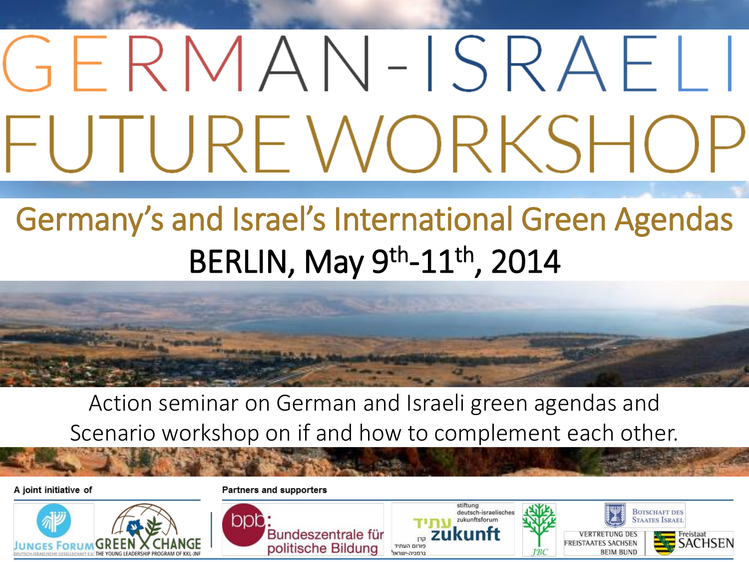# GERMAN-ISRAEL FUTURE WORKSHC

# Germany's and Israel's International Green Agendas BERLIN, May 9<sup>th</sup>-11<sup>th</sup>, 2014



Action seminar on German and Israeli green agendas and Scenario workshop on if and how to complement each other.

A joint initiative of



**Partners and supporters** 

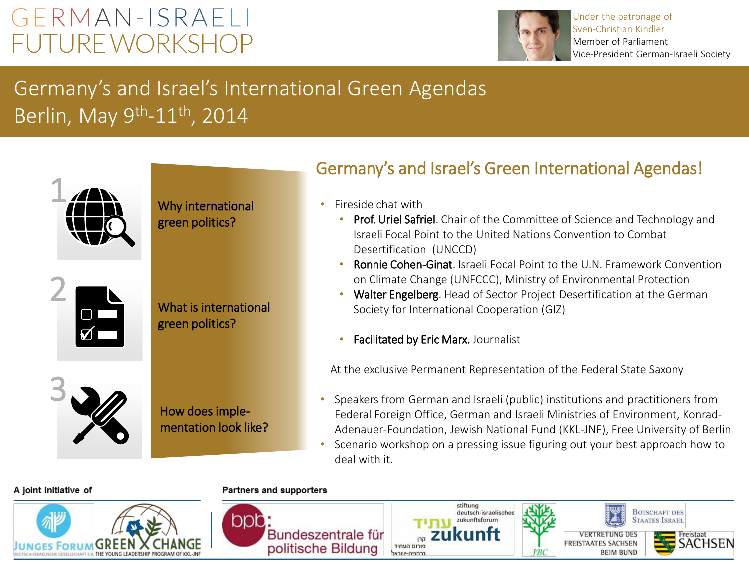### GERMAN-ISRAELI **FUTURE WORKSHOP**



Under the patronage of Sven-Christian Kindler Member of Parliament Vice-President German-Israeli Society

**BOTSCHAFT DES** 

**BEIM BUND** 

**AATES ISRAEL** 

### Germany's and Israel's International Green Agendas Berlin, May 9<sup>th</sup>-11<sup>th</sup>, 2014



Why international green politics?





What is international green politics?

How does implementation look like?

### Germany's and Israel's Green International Agendas!

- Fireside chat with
	- Prof. Uriel Safriel. Chair of the Committee of Science and Technology and Israeli Focal Point to the United Nations Convention to Combat Desertification (UNCCD)
	- Ronnie Cohen-Ginat. Israeli Focal Point to the U.N. Framework Convention on Climate Change (UNFCCC), Ministry of Environmental Protection
	- Walter Engelberg. Head of Sector Project Desertification at the German Society for International Cooperation (GIZ)
	- Facilitated by Eric Marx. Journalist

At the exclusive Permanent Representation of the Federal State Saxony

stiftung deutsch-israelisches

ukunftsforum

- Speakers from German and Israeli (public) institutions and practitioners from Federal Foreign Office, German and Israeli Ministries of Environment, Konrad-Adenauer-Foundation, Jewish National Fund (KKL-JNF), Free University of Berlin
- Scenario workshop on a pressing issue figuring out your best approach how to deal with it.

#### A joint initiative of



Partners and supporters

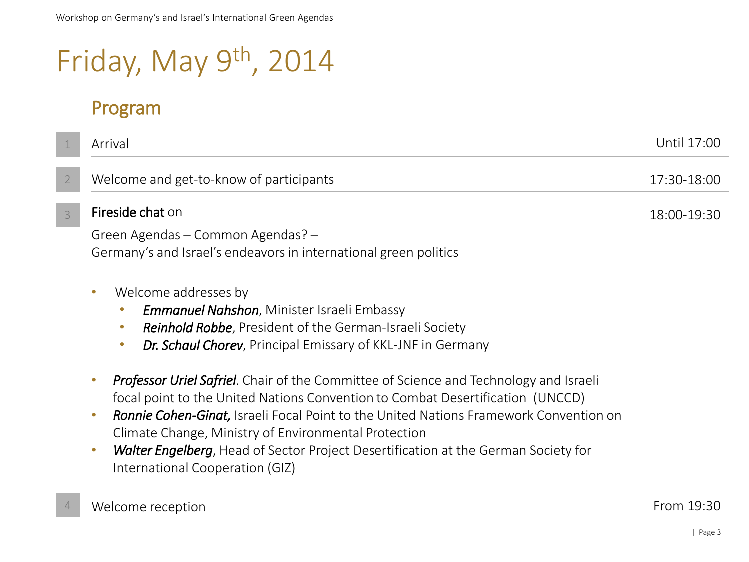# Friday, May 9<sup>th</sup>, 2014

Program

|   | Arrival                                                                                                                                                                                                                                                                                                                                                                                                                                                                                           | Until 17:00 |
|---|---------------------------------------------------------------------------------------------------------------------------------------------------------------------------------------------------------------------------------------------------------------------------------------------------------------------------------------------------------------------------------------------------------------------------------------------------------------------------------------------------|-------------|
|   | Welcome and get-to-know of participants                                                                                                                                                                                                                                                                                                                                                                                                                                                           | 17:30-18:00 |
| 3 | Fireside chat on                                                                                                                                                                                                                                                                                                                                                                                                                                                                                  | 18:00-19:30 |
|   | Green Agendas – Common Agendas? –<br>Germany's and Israel's endeavors in international green politics                                                                                                                                                                                                                                                                                                                                                                                             |             |
|   | Welcome addresses by<br>$\bullet$<br><b>Emmanuel Nahshon</b> , Minister Israeli Embassy<br>Reinhold Robbe, President of the German-Israeli Society<br><b>Dr. Schaul Chorev</b> , Principal Emissary of KKL-JNF in Germany<br>$\bullet$                                                                                                                                                                                                                                                            |             |
|   | <b>Professor Uriel Safriel.</b> Chair of the Committee of Science and Technology and Israeli<br>focal point to the United Nations Convention to Combat Desertification (UNCCD)<br><b>Ronnie Cohen-Ginat, Israeli Focal Point to the United Nations Framework Convention on</b><br>$\bullet$<br>Climate Change, Ministry of Environmental Protection<br><b>Walter Engelberg</b> , Head of Sector Project Desertification at the German Society for<br>$\bullet$<br>International Cooperation (GIZ) |             |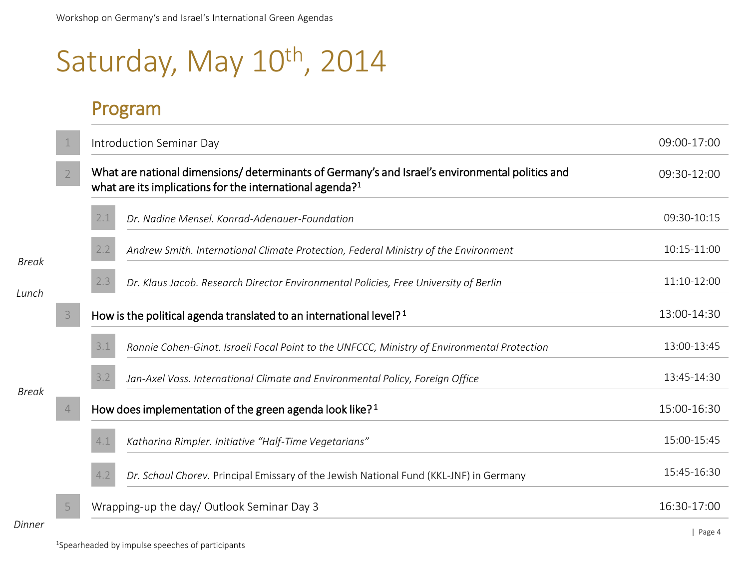# Saturday, May 10<sup>th</sup>, 2014

### Program

|              |                  | Introduction Seminar Day                                                                                                                                               | 09:00-17:00          |
|--------------|------------------|------------------------------------------------------------------------------------------------------------------------------------------------------------------------|----------------------|
|              | $2 \overline{ }$ | What are national dimensions/determinants of Germany's and Israel's environmental politics and<br>what are its implications for the international agenda? <sup>1</sup> | 09:30-12:00          |
|              |                  | 2.1<br>Dr. Nadine Mensel. Konrad-Adenauer-Foundation                                                                                                                   | 09:30-10:15          |
| Break        |                  | 2.2<br>Andrew Smith. International Climate Protection, Federal Ministry of the Environment                                                                             | 10:15-11:00          |
| Lunch        |                  | 2.3<br>Dr. Klaus Jacob. Research Director Environmental Policies, Free University of Berlin                                                                            | 11:10-12:00          |
|              | 3                | How is the political agenda translated to an international level? <sup>1</sup>                                                                                         | 13:00-14:30          |
|              |                  | 3.1<br>Ronnie Cohen-Ginat. Israeli Focal Point to the UNFCCC, Ministry of Environmental Protection                                                                     | 13:00-13:45          |
| <b>Break</b> |                  | 3.2<br>Jan-Axel Voss. International Climate and Environmental Policy, Foreign Office                                                                                   | 13:45-14:30          |
|              | $\overline{4}$   | How does implementation of the green agenda look like? <sup>1</sup>                                                                                                    | 15:00-16:30          |
|              |                  | 4.1<br>Katharina Rimpler. Initiative "Half-Time Vegetarians"                                                                                                           | 15:00-15:45          |
|              |                  | Dr. Schaul Chorev. Principal Emissary of the Jewish National Fund (KKL-JNF) in Germany                                                                                 | 15:45-16:30          |
|              | 5                | Wrapping-up the day/ Outlook Seminar Day 3                                                                                                                             | 16:30-17:00          |
| Dinner       |                  |                                                                                                                                                                        | $D \cap \cap \cap A$ |

<sup>1</sup>Spearheaded by impulse speeches of participants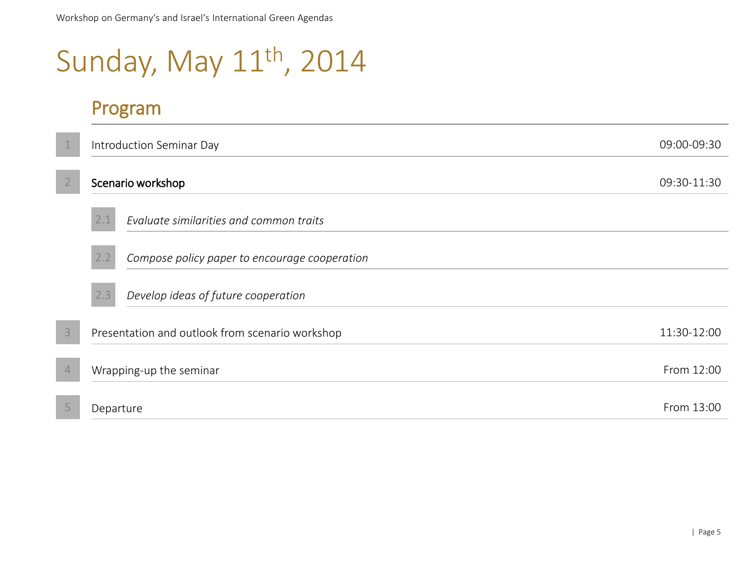# Sunday, May 11<sup>th</sup>, 2014

#### Program

|                | Introduction Seminar Day                             |             |  |
|----------------|------------------------------------------------------|-------------|--|
|                | Scenario workshop                                    | 09:30-11:30 |  |
|                | 2.1<br>Evaluate similarities and common traits       |             |  |
|                | 2.2<br>Compose policy paper to encourage cooperation |             |  |
|                | Develop ideas of future cooperation<br>2.3           |             |  |
| 3              | Presentation and outlook from scenario workshop      | 11:30-12:00 |  |
| $\overline{4}$ | Wrapping-up the seminar                              | From 12:00  |  |
|                | Departure                                            | From 13:00  |  |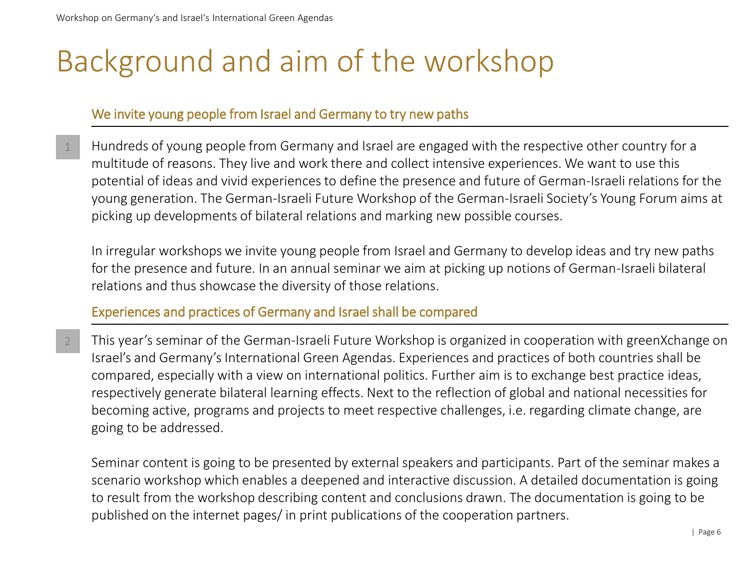## Background and aim of the workshop

#### We invite young people from Israel and Germany to try new paths

Hundreds of young people from Germany and Israel are engaged with the respective other country for a multitude of reasons. They live and work there and collect intensive experiences. We want to use this potential of ideas and vivid experiences to define the presence and future of German-Israeli relations for the young generation. The German-Israeli Future Workshop of the German-Israeli Society's Young Forum aims at picking up developments of bilateral relations and marking new possible courses. 1

In irregular workshops we invite young people from Israel and Germany to develop ideas and try new paths for the presence and future. In an annual seminar we aim at picking up notions of German-Israeli bilateral relations and thus showcase the diversity of those relations.

Experiences and practices of Germany and Israel shall be compared

This year's seminar of the German-Israeli Future Workshop is organized in cooperation with greenXchange on Israel's and Germany's International Green Agendas. Experiences and practices of both countries shall be compared, especially with a view on international politics. Further aim is to exchange best practice ideas, respectively generate bilateral learning effects. Next to the reflection of global and national necessities for becoming active, programs and projects to meet respective challenges, i.e. regarding climate change, are going to be addressed. 2

Seminar content is going to be presented by external speakers and participants. Part of the seminar makes a scenario workshop which enables a deepened and interactive discussion. A detailed documentation is going to result from the workshop describing content and conclusions drawn. The documentation is going to be published on the internet pages/ in print publications of the cooperation partners.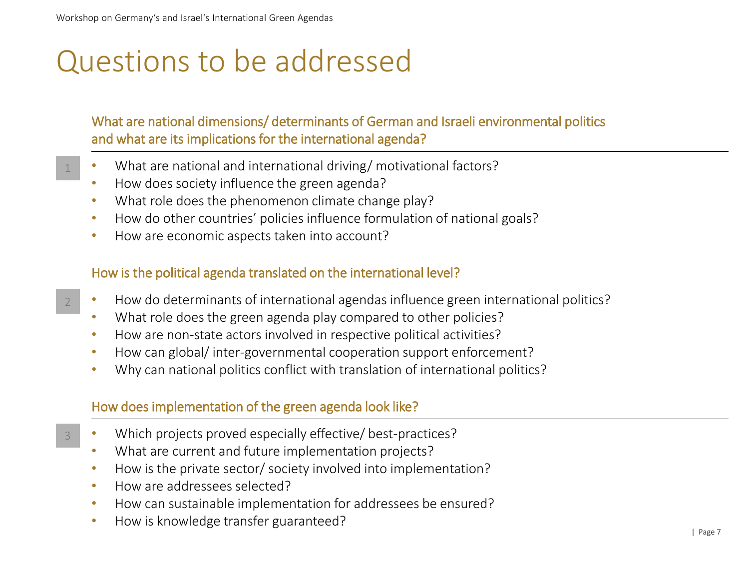1

2

3

## Questions to be addressed

#### What are national dimensions/ determinants of German and Israeli environmental politics and what are its implications for the international agenda?

- What are national and international driving/ motivational factors?
- How does society influence the green agenda?
- What role does the phenomenon climate change play?
- How do other countries' policies influence formulation of national goals?
- How are economic aspects taken into account?

#### How is the political agenda translated on the international level?

- How do determinants of international agendas influence green international politics?
- What role does the green agenda play compared to other policies?
- How are non-state actors involved in respective political activities?
- How can global/ inter-governmental cooperation support enforcement?
- Why can national politics conflict with translation of international politics?

#### How does implementation of the green agenda look like?

- Which projects proved especially effective/ best-practices?
- What are current and future implementation projects?
- How is the private sector/ society involved into implementation?
- How are addressees selected?
- How can sustainable implementation for addressees be ensured?
- How is knowledge transfer guaranteed?